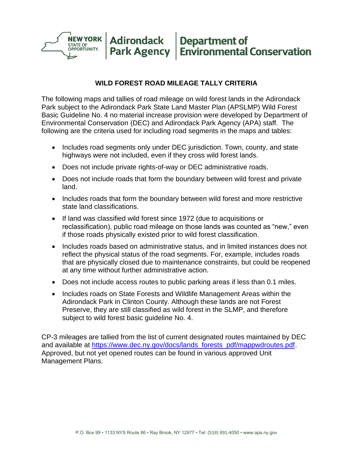

#### **WILD FOREST ROAD MILEAGE TALLY CRITERIA**

The following maps and tallies of road mileage on wild forest lands in the Adirondack Park subject to the Adirondack Park State Land Master Plan (APSLMP) Wild Forest Basic Guideline No. 4 no material increase provision were developed by Department of Environmental Conservation (DEC) and Adirondack Park Agency (APA) staff. The following are the criteria used for including road segments in the maps and tables:

- Includes road segments only under DEC jurisdiction. Town, county, and state highways were not included, even if they cross wild forest lands.
- Does not include private rights-of-way or DEC administrative roads.
- Does not include roads that form the boundary between wild forest and private land.
- Includes roads that form the boundary between wild forest and more restrictive state land classifications.
- If land was classified wild forest since 1972 (due to acquisitions or reclassification), public road mileage on those lands was counted as "new," even if those roads physically existed prior to wild forest classification.
- Includes roads based on administrative status, and in limited instances does not reflect the physical status of the road segments. For, example, includes roads that are physically closed due to maintenance constraints, but could be reopened at any time without further administrative action.
- Does not include access routes to public parking areas if less than 0.1 miles.
- Includes roads on State Forests and Wildlife Management Areas within the Adirondack Park in Clinton County. Although these lands are not Forest Preserve, they are still classified as wild forest in the SLMP, and therefore subject to wild forest basic guideline No. 4.

CP-3 mileages are tallied from the list of current designated routes maintained by DEC and available at [https://www.dec.ny.gov/docs/lands\\_forests\\_pdf/mappwdroutes.pdf.](https://www.dec.ny.gov/docs/lands_forests_pdf/mappwdroutes.pdf) Approved, but not yet opened routes can be found in various approved Unit Management Plans.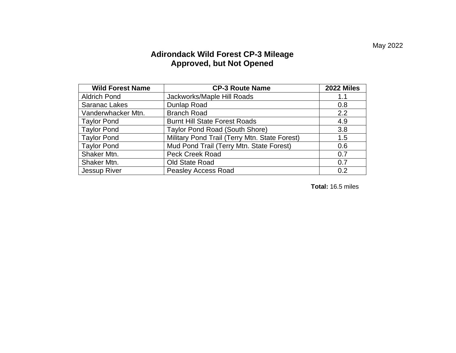#### **Adirondack Wild Forest CP-3 Mileage Approved, but Not Opened**

| <b>Wild Forest Name</b> | <b>CP-3 Route Name</b>                        | <b>2022 Miles</b> |
|-------------------------|-----------------------------------------------|-------------------|
| <b>Aldrich Pond</b>     | Jackworks/Maple Hill Roads                    | 1.1               |
| <b>Saranac Lakes</b>    | Dunlap Road                                   | 0.8               |
| Vanderwhacker Mtn.      | <b>Branch Road</b>                            | 2.2               |
| <b>Taylor Pond</b>      | <b>Burnt Hill State Forest Roads</b>          | 4.9               |
| <b>Taylor Pond</b>      | Taylor Pond Road (South Shore)                | 3.8               |
| <b>Taylor Pond</b>      | Military Pond Trail (Terry Mtn. State Forest) | 1.5               |
| <b>Taylor Pond</b>      | Mud Pond Trail (Terry Mtn. State Forest)      | 0.6               |
| Shaker Mtn.             | <b>Peck Creek Road</b>                        | 0.7               |
| Shaker Mtn.             | Old State Road                                | 0.7               |
| Jessup River            | <b>Peasley Access Road</b>                    | 0.2               |

**Total:** 16.5 miles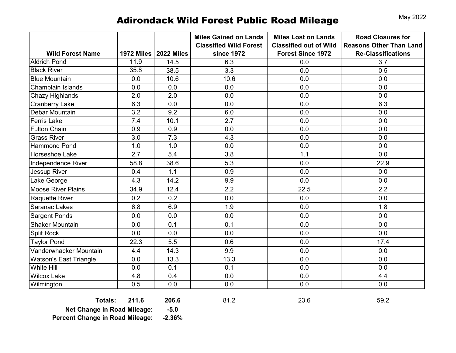# Adirondack Wild Forest Public Road Mileage May 2022

|                               |      |                         | <b>Miles Gained on Lands</b><br><b>Classified Wild Forest</b> | <b>Miles Lost on Lands</b><br><b>Classified out of Wild</b> | <b>Road Closures for</b><br><b>Reasons Other Than Land</b> |
|-------------------------------|------|-------------------------|---------------------------------------------------------------|-------------------------------------------------------------|------------------------------------------------------------|
| <b>Wild Forest Name</b>       |      | 1972 Miles   2022 Miles | <b>since 1972</b>                                             | <b>Forest Since 1972</b>                                    | <b>Re-Classifications</b>                                  |
| <b>Aldrich Pond</b>           | 11.9 | 14.5                    | 6.3                                                           | 0.0                                                         | 3.7                                                        |
| <b>Black River</b>            | 35.8 | 38.5                    | 3.3                                                           | 0.0                                                         | 0.5                                                        |
| <b>Blue Mountain</b>          | 0.0  | 10.6                    | 10.6                                                          | 0.0                                                         | 0.0                                                        |
| Champlain Islands             | 0.0  | 0.0                     | 0.0                                                           | 0.0                                                         | 0.0                                                        |
| <b>Chazy Highlands</b>        | 2.0  | 2.0                     | 0.0                                                           | 0.0                                                         | 0.0                                                        |
| <b>Cranberry Lake</b>         | 6.3  | 0.0                     | 0.0                                                           | 0.0                                                         | 6.3                                                        |
| Debar Mountain                | 3.2  | 9.2                     | 6.0                                                           | 0.0                                                         | 0.0                                                        |
| <b>Ferris Lake</b>            | 7.4  | 10.1                    | 2.7                                                           | 0.0                                                         | 0.0                                                        |
| <b>Fulton Chain</b>           | 0.9  | 0.9                     | 0.0                                                           | 0.0                                                         | 0.0                                                        |
| <b>Grass River</b>            | 3.0  | 7.3                     | 4.3                                                           | 0.0                                                         | 0.0                                                        |
| <b>Hammond Pond</b>           | 1.0  | 1.0                     | 0.0                                                           | 0.0                                                         | 0.0                                                        |
| Horseshoe Lake                | 2.7  | 5.4                     | 3.8                                                           | 1.1                                                         | 0.0                                                        |
| Independence River            | 58.8 | 38.6                    | 5.3                                                           | 0.0                                                         | 22.9                                                       |
| Jessup River                  | 0.4  | 1.1                     | 0.9                                                           | 0.0                                                         | 0.0                                                        |
| Lake George                   | 4.3  | 14.2                    | 9.9                                                           | 0.0                                                         | 0.0                                                        |
| <b>Moose River Plains</b>     | 34.9 | 12.4                    | 2.2                                                           | 22.5                                                        | 2.2                                                        |
| <b>Raquette River</b>         | 0.2  | 0.2                     | 0.0                                                           | 0.0                                                         | 0.0                                                        |
| <b>Saranac Lakes</b>          | 6.8  | 6.9                     | 1.9                                                           | 0.0                                                         | 1.8                                                        |
| <b>Sargent Ponds</b>          | 0.0  | 0.0                     | 0.0                                                           | 0.0                                                         | 0.0                                                        |
| <b>Shaker Mountain</b>        | 0.0  | 0.1                     | 0.1                                                           | 0.0                                                         | 0.0                                                        |
| <b>Split Rock</b>             | 0.0  | 0.0                     | 0.0                                                           | 0.0                                                         | 0.0                                                        |
| <b>Taylor Pond</b>            | 22.3 | 5.5                     | 0.6                                                           | 0.0                                                         | 17.4                                                       |
| Vanderwhacker Mountain        | 4.4  | 14.3                    | 9.9                                                           | 0.0                                                         | 0.0                                                        |
| <b>Watson's East Triangle</b> | 0.0  | 13.3                    | 13.3                                                          | 0.0                                                         | 0.0                                                        |
| White Hill                    | 0.0  | 0.1                     | 0.1                                                           | 0.0                                                         | 0.0                                                        |
| <b>Wilcox Lake</b>            | 4.8  | 0.4                     | 0.0                                                           | 0.0                                                         | 4.4                                                        |
| Wilmington                    | 0.5  | 0.0                     | 0.0                                                           | 0.0                                                         | 0.0                                                        |

**Totals: 211.6 206.6** 81.2 23.6 59.2

**Net Change in Road Mileage: -5.0 Percent Change in Road Mileage: -2.36%**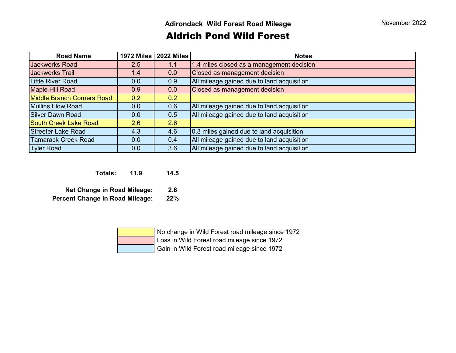## Aldrich Pond Wild Forest

| <b>Road Name</b>                  | 1972 Miles | <b>2022 Miles</b> | <b>Notes</b>                               |
|-----------------------------------|------------|-------------------|--------------------------------------------|
| <b>Jackworks Road</b>             | 2.5        | 1.1               | 1.4 miles closed as a management decision  |
| <b>Jackworks Trail</b>            | 1.4        | 0.0               | Closed as management decision              |
| <b>Little River Road</b>          | 0.0        | 0.9               | All mileage gained due to land acquisition |
| <b>Maple Hill Road</b>            | 0.9        | 0.0               | Closed as management decision              |
| <b>Middle Branch Corners Road</b> | 0.2        | 0.2               |                                            |
| <b>Mullins Flow Road</b>          | 0.0        | 0.6               | All mileage gained due to land acquisition |
| <b>Silver Dawn Road</b>           | 0.0        | 0.5               | All mileage gained due to land acquisition |
| <b>South Creek Lake Road</b>      | 2.6        | 2.6               |                                            |
| <b>Streeter Lake Road</b>         | 4.3        | 4.6               | 0.3 miles gained due to land acquisition   |
| <b>Tamarack Creek Road</b>        | 0.0        | 0.4               | All mileage gained due to land acquisition |
| <b>Tyler Road</b>                 | 0.0        | 3.6               | All mileage gained due to land acquisition |

**Totals: 11.9 14.5**

**Net Change in Road Mileage: 2.6 Percent Change in Road Mileage: 22%**

| No change in Wild Forest road mileage since 1972 |
|--------------------------------------------------|
| Loss in Wild Forest road mileage since 1972      |
| Gain in Wild Forest road mileage since 1972      |
|                                                  |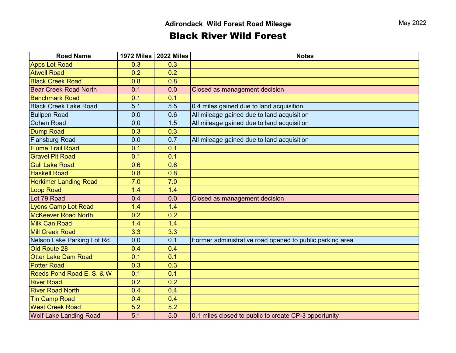## Black River Wild Forest

| <b>Road Name</b>              |     | 1972 Miles   2022 Miles | <b>Notes</b>                                             |
|-------------------------------|-----|-------------------------|----------------------------------------------------------|
| <b>Apps Lot Road</b>          | 0.3 | 0.3                     |                                                          |
| <b>Atwell Road</b>            | 0.2 | 0.2                     |                                                          |
| <b>Black Creek Road</b>       | 0.8 | 0.8                     |                                                          |
| <b>Bear Creek Road North</b>  | 0.1 | 0.0                     | Closed as management decision                            |
| <b>Benchmark Road</b>         | 0.1 | 0.1                     |                                                          |
| <b>Black Creek Lake Road</b>  | 5.1 | 5.5                     | 0.4 miles gained due to land acquisition                 |
| <b>Bullpen Road</b>           | 0.0 | 0.6                     | All mileage gained due to land acquisition               |
| <b>Cohen Road</b>             | 0.0 | 1.5                     | All mileage gained due to land acquisition               |
| <b>Dump Road</b>              | 0.3 | 0.3                     |                                                          |
| <b>Flansburg Road</b>         | 0.0 | 0.7                     | All mileage gained due to land acquisition               |
| <b>Flume Trail Road</b>       | 0.1 | 0.1                     |                                                          |
| <b>Gravel Pit Road</b>        | 0.1 | 0.1                     |                                                          |
| <b>Gull Lake Road</b>         | 0.6 | 0.6                     |                                                          |
| <b>Haskell Road</b>           | 0.8 | 0.8                     |                                                          |
| <b>Herkimer Landing Road</b>  | 7.0 | 7.0                     |                                                          |
| <b>Loop Road</b>              | 1.4 | 1.4                     |                                                          |
| Lot 79 Road                   | 0.4 | 0.0                     | Closed as management decision                            |
| <b>Lyons Camp Lot Road</b>    | 1.4 | 1.4                     |                                                          |
| <b>McKeever Road North</b>    | 0.2 | 0.2                     |                                                          |
| <b>Milk Can Road</b>          | 1.4 | 1.4                     |                                                          |
| <b>Mill Creek Road</b>        | 3.3 | 3.3                     |                                                          |
| Nelson Lake Parking Lot Rd.   | 0.0 | 0.1                     | Former administrative road opened to public parking area |
| Old Route 28                  | 0.4 | 0.4                     |                                                          |
| <b>Otter Lake Dam Road</b>    | 0.1 | 0.1                     |                                                          |
| <b>Potter Road</b>            | 0.3 | 0.3                     |                                                          |
| Reeds Pond Road E, S, & W     | 0.1 | 0.1                     |                                                          |
| <b>River Road</b>             | 0.2 | 0.2                     |                                                          |
| <b>River Road North</b>       | 0.4 | 0.4                     |                                                          |
| <b>Tin Camp Road</b>          | 0.4 | 0.4                     |                                                          |
| <b>West Creek Road</b>        | 5.2 | 5.2                     |                                                          |
| <b>Wolf Lake Landing Road</b> | 5.1 | 5.0                     | 0.1 miles closed to public to create CP-3 opportunity    |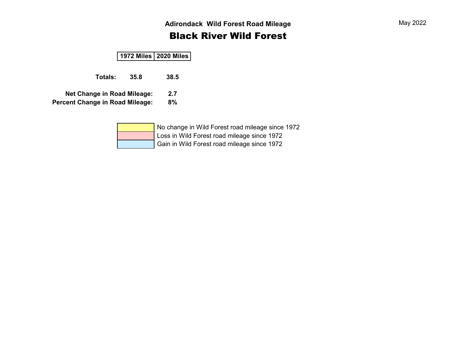## Black River Wild Forest

#### **1972 Miles 2020 Miles**

**Totals: 35.8 38.5**

**Net Change in Road Mileage: 2.7**

**Percent Change in Road Mileage: 8%**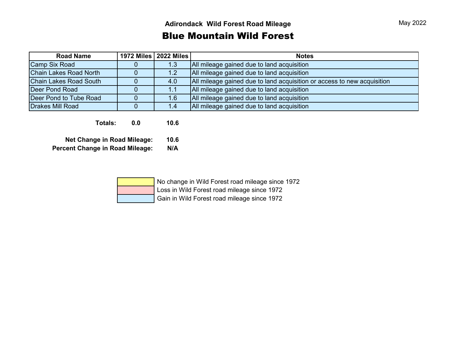### Blue Mountain Wild Forest

| <b>Road Name</b>              | 1972 Miles   2022 Miles | <b>Notes</b>                                                            |
|-------------------------------|-------------------------|-------------------------------------------------------------------------|
| <b>Camp Six Road</b>          | 1.3                     | All mileage gained due to land acquisition                              |
| Chain Lakes Road North        | 1.2                     | All mileage gained due to land acquisition                              |
| <b>Chain Lakes Road South</b> | 4.0                     | All mileage gained due to land acquisition or access to new acquisition |
| <b>Deer Pond Road</b>         | 1.1                     | All mileage gained due to land acquisition                              |
| Deer Pond to Tube Road        | 1.6                     | All mileage gained due to land acquisition                              |
| <b>Drakes Mill Road</b>       | 1.4                     | All mileage gained due to land acquisition                              |
|                               |                         |                                                                         |

**Totals: 0.0 10.6**

**Net Change in Road Mileage: 10.6 Percent Change in Road Mileage: N/A**

| No change in Wild Forest road mileage since 1972 |
|--------------------------------------------------|
| Loss in Wild Forest road mileage since 1972      |
| Gain in Wild Forest road mileage since 1972      |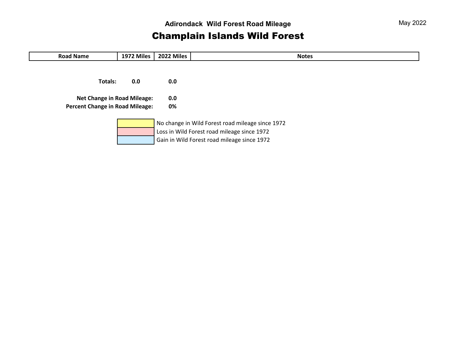## Champlain Islands Wild Forest

| <b>Road Name</b>                                                             | 1972 Miles | 2022 Miles | <b>Notes</b>                                                                                                                                   |
|------------------------------------------------------------------------------|------------|------------|------------------------------------------------------------------------------------------------------------------------------------------------|
| Totals:                                                                      | 0.0        | 0.0        |                                                                                                                                                |
| <b>Net Change in Road Mileage:</b><br><b>Percent Change in Road Mileage:</b> |            | 0.0<br>0%  |                                                                                                                                                |
|                                                                              |            |            | No change in Wild Forest road mileage since 1972<br>Loss in Wild Forest road mileage since 1972<br>Gain in Wild Forest road mileage since 1972 |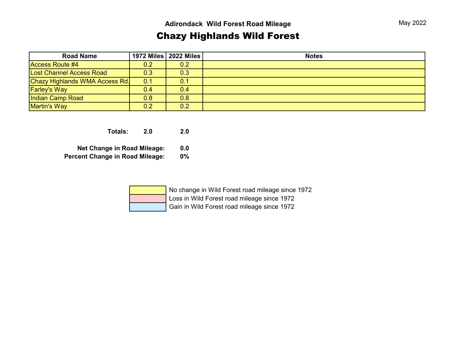## Chazy Highlands Wild Forest

| <b>Road Name</b>                |     | 1972 Miles   2022 Miles | <b>Notes</b> |
|---------------------------------|-----|-------------------------|--------------|
| <b>Access Route #4</b>          | 0.2 | $ 0.2\rangle$           |              |
| <b>Lost Channel Access Road</b> | 0.3 | 0.3                     |              |
| Chazy Highlands WMA Access Rd.  | 0.1 | 0.1                     |              |
| <b>Farley's Way</b>             | 0.4 | 0.4                     |              |
| Indian Camp Road                | 0.8 | 0.8                     |              |
| <b>Martin's Way</b>             | 0.2 | 0.2                     |              |

**Totals: 2.0 2.0**

**Net Change in Road Mileage: 0.0**

**Percent Change in Road Mileage: 0%**

| No change in Wild Forest road mileage since 1972 |
|--------------------------------------------------|
| Loss in Wild Forest road mileage since 1972      |
| Gain in Wild Forest road mileage since 1972      |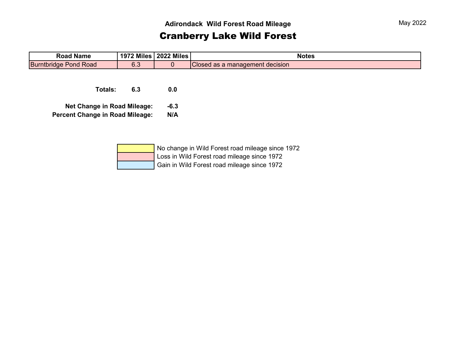## Cranberry Lake Wild Forest

| <b>Road Name</b>             | 1972 Miles   2022 Miles |               |                                 | <b>Notes</b> |
|------------------------------|-------------------------|---------------|---------------------------------|--------------|
| <b>Burntbridge Pond Road</b> | 6.3                     |               | Closed as a management decision |              |
|                              |                         |               |                                 |              |
|                              |                         |               |                                 |              |
| _ _ _                        | $\sim$ $\sim$           | $\sim$ $\sim$ |                                 |              |

**Totals: 6.3 0.0**

**Net Change in Road Mileage: -6.3**

**Percent Change in Road Mileage: N/A**

| No change in Wild Forest road mileage since 1972 |
|--------------------------------------------------|
| Loss in Wild Forest road mileage since 1972      |
| Gain in Wild Forest road mileage since 1972      |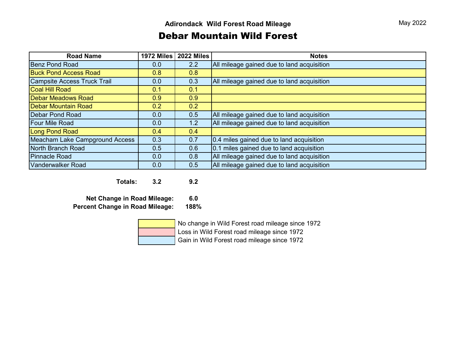#### Debar Mountain Wild Forest

| <b>Road Name</b>               | 1972 Miles | 2022 Miles | <b>Notes</b>                               |
|--------------------------------|------------|------------|--------------------------------------------|
| <b>Benz Pond Road</b>          | 0.0        | 2.2        | All mileage gained due to land acquisition |
| <b>Buck Pond Access Road</b>   | 0.8        | 0.8        |                                            |
| Campsite Access Truck Trail    | 0.0        | 0.3        | All mileage gained due to land acquisition |
| <b>Coal Hill Road</b>          | 0.1        | 0.1        |                                            |
| <b>Debar Meadows Road</b>      | 0.9        | 0.9        |                                            |
| <b>Debar Mountain Road</b>     | 0.2        | 0.2        |                                            |
| <b>Debar Pond Road</b>         | 0.0        | 0.5        | All mileage gained due to land acquisition |
| <b>Four Mile Road</b>          | 0.0        | 1.2        | All mileage gained due to land acquisition |
| <b>Long Pond Road</b>          | 0.4        | 0.4        |                                            |
| Meacham Lake Campground Access | 0.3        | 0.7        | 0.4 miles gained due to land acquisition   |
| North Branch Road              | 0.5        | 0.6        | 0.1 miles gained due to land acquisition   |
| <b>Pinnacle Road</b>           | 0.0        | 0.8        | All mileage gained due to land acquisition |
| Vanderwalker Road              | 0.0        | 0.5        | All mileage gained due to land acquisition |

**Totals: 3.2 9.2**

**Net Change in Road Mileage: 6.0 Percent Change in Road Mileage: 188%**

 No change in Wild Forest road mileage since 1972 Loss in Wild Forest road mileage since 1972

Gain in Wild Forest road mileage since 1972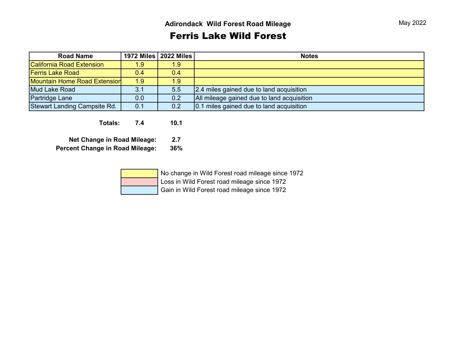## Ferris Lake Wild Forest

| <b>Road Name</b>             |     | 1972 Miles   2022 Miles | <b>Notes</b>                               |
|------------------------------|-----|-------------------------|--------------------------------------------|
| California Road Extension    | 1.9 | 1.9                     |                                            |
| <b>Ferris Lake Road</b>      | 0.4 | $0.4^{\circ}$           |                                            |
| Mountain Home Road Extension | 1.9 | 1.9                     |                                            |
| Mud Lake Road                | 3.1 | 5.5                     | 2.4 miles gained due to land acquisition   |
| <b>Partridge Lane</b>        | 0.0 | 0.2                     | All mileage gained due to land acquisition |
| Stewart Landing Campsite Rd. | 0.1 | 0.2                     | 0.1 miles gained due to land acquisition   |

**Totals: 7.4 10.1**

**Net Change in Road Mileage: 2.7 Percent Change in Road Mileage: 36%**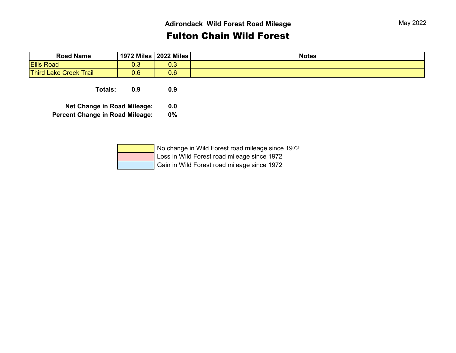### Fulton Chain Wild Forest

| <b>Road Name</b>              | 1972 Miles | <b>2022 Miles</b> | <b>Notes</b> |
|-------------------------------|------------|-------------------|--------------|
| <b>Ellis Road</b>             | ∪.∪        | $\sim$<br>∪.∪     |              |
| <b>Third Lake Creek Trail</b> | 0.6        | 0.6               |              |

**Totals: 0.9 0.9**

**Net Change in Road Mileage: 0.0**

**Percent Change in Road Mileage: 0%**

| No change in Wild Forest road mileage since 1972 |
|--------------------------------------------------|
| Loss in Wild Forest road mileage since 1972      |
| Gain in Wild Forest road mileage since 1972      |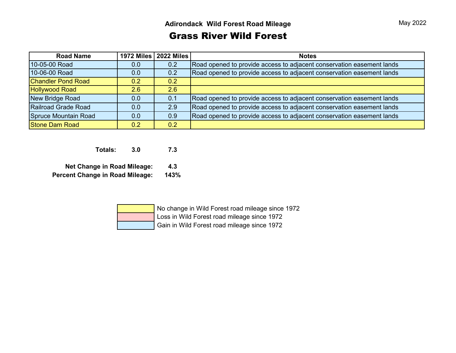### Grass River Wild Forest

| <b>Road Name</b>          |     | 1972 Miles   2022 Miles | <b>Notes</b>                                                          |
|---------------------------|-----|-------------------------|-----------------------------------------------------------------------|
| 10-05-00 Road             | 0.0 | 0.2                     | Road opened to provide access to adjacent conservation easement lands |
| 10-06-00 Road             | 0.0 | 0.2                     | Road opened to provide access to adjacent conservation easement lands |
| <b>Chandler Pond Road</b> | 0.2 | 0.2                     |                                                                       |
| <b>Hollywood Road</b>     | 2.6 | 2.6                     |                                                                       |
| New Bridge Road           | 0.0 | 0.1                     | Road opened to provide access to adjacent conservation easement lands |
| Railroad Grade Road       | 0.0 | 2.9                     | Road opened to provide access to adjacent conservation easement lands |
| Spruce Mountain Road      | 0.0 | 0.9                     | Road opened to provide access to adjacent conservation easement lands |
| <b>Stone Dam Road</b>     | 0.2 | 0.2                     |                                                                       |

**Totals: 3.0 7.3**

**Net Change in Road Mileage: 4.3 Percent Change in Road Mileage: 143%**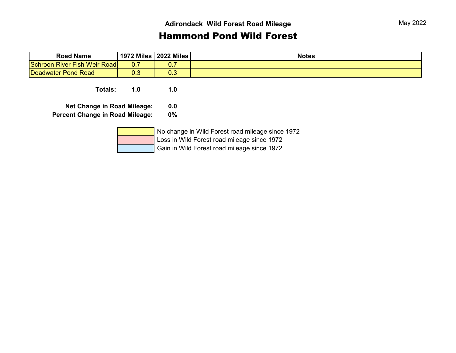#### Hammond Pond Wild Forest

| <b>Road Name</b>             | 1972 Miles       | <b>2022 Miles</b> | <b>Notes</b> |
|------------------------------|------------------|-------------------|--------------|
| Schroon River Fish Weir Road | $\sim$ 7<br>U. I | v.,               |              |
| Deadwater Pond Road          | ററ<br>∪.∪        | ∪.∪               |              |

**Totals: 1.0 1.0**

**Net Change in Road Mileage: 0.0**

**Percent Change in Road Mileage: 0%**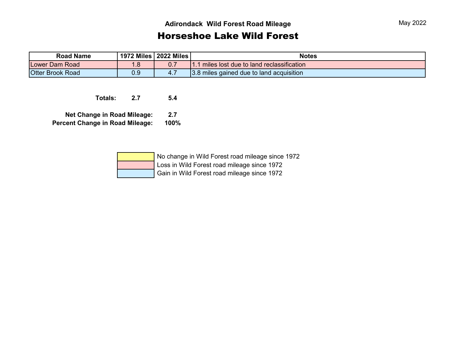#### Horseshoe Lake Wild Forest

| <b>Road Name</b>        |      | 1972 Miles   2022 Miles | <b>Notes</b>                             |
|-------------------------|------|-------------------------|------------------------------------------|
| <b>Lower Dam Road</b>   |      |                         | miles lost due to land reclassification  |
| <b>Otter Brook Road</b> | ບ. ບ | $-4.$                   | 3.8 miles gained due to land acquisition |

**Totals: 2.7 5.4**

**Net Change in Road Mileage: 2.7 Percent Change in Road Mileage: 100%**

| No change in Wild Forest road mileage since 1972 |
|--------------------------------------------------|
| Loss in Wild Forest road mileage since 1972      |
| Gain in Wild Forest road mileage since 1972      |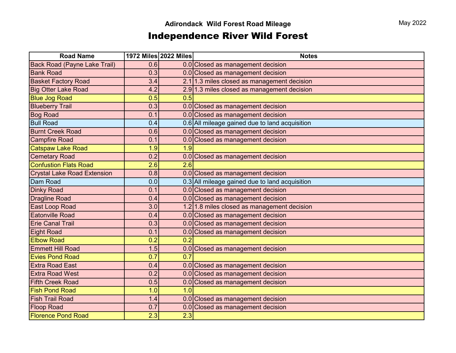## Independence River Wild Forest

| <b>Road Name</b>                    |     | 1972 Miles 2022 Miles | <b>Notes</b>                                   |
|-------------------------------------|-----|-----------------------|------------------------------------------------|
| <b>Back Road (Payne Lake Trail)</b> | 0.6 |                       | 0.0 Closed as management decision              |
| <b>Bank Road</b>                    | 0.3 |                       | 0.0 Closed as management decision              |
| <b>Basket Factory Road</b>          | 3.4 |                       | $2.1$ 1.3 miles closed as management decision  |
| <b>Big Otter Lake Road</b>          | 4.2 |                       | $2.9$ 1.3 miles closed as management decision  |
| <b>Blue Jog Road</b>                | 0.5 | 0.5                   |                                                |
| <b>Blueberry Trail</b>              | 0.3 |                       | 0.0 Closed as management decision              |
| <b>Bog Road</b>                     | 0.1 |                       | 0.0 Closed as management decision              |
| <b>Bull Road</b>                    | 0.4 |                       | 0.6 All mileage gained due to land acquisition |
| <b>Burnt Creek Road</b>             | 0.6 |                       | 0.0 Closed as management decision              |
| <b>Campfire Road</b>                | 0.1 |                       | 0.0 Closed as management decision              |
| <b>Catspaw Lake Road</b>            | 1.9 | 1.9                   |                                                |
| <b>Cemetary Road</b>                | 0.2 |                       | 0.0 Closed as management decision              |
| <b>Confustion Flats Road</b>        | 2.6 | 2.6                   |                                                |
| <b>Crystal Lake Road Extension</b>  | 0.8 |                       | 0.0 Closed as management decision              |
| Dam Road                            | 0.0 |                       | 0.3 All mileage gained due to land acquisition |
| <b>Dinky Road</b>                   | 0.1 |                       | 0.0 Closed as management decision              |
| <b>Dragline Road</b>                | 0.4 |                       | 0.0 Closed as management decision              |
| East Loop Road                      | 3.0 |                       | 1.2 1.8 miles closed as management decision    |
| Eatonville Road                     | 0.4 |                       | 0.0 Closed as management decision              |
| <b>Erie Canal Trail</b>             | 0.3 |                       | 0.0 Closed as management decision              |
| <b>Eight Road</b>                   | 0.1 |                       | 0.0 Closed as management decision              |
| <b>Elbow Road</b>                   | 0.2 | 0.2                   |                                                |
| <b>Emmett Hill Road</b>             | 1.5 |                       | 0.0 Closed as management decision              |
| <b>Evies Pond Road</b>              | 0.7 | 0.7                   |                                                |
| <b>Extra Road East</b>              | 0.4 |                       | 0.0 Closed as management decision              |
| <b>Extra Road West</b>              | 0.2 |                       | 0.0 Closed as management decision              |
| <b>Fifth Creek Road</b>             | 0.5 |                       | 0.0 Closed as management decision              |
| <b>Fish Pond Road</b>               | 1.0 | 1.0                   |                                                |
| <b>Fish Trail Road</b>              | 1.4 |                       | 0.0 Closed as management decision              |
| <b>Floop Road</b>                   | 0.7 |                       | 0.0 Closed as management decision              |
| <b>Florence Pond Road</b>           | 2.3 | 2.3                   |                                                |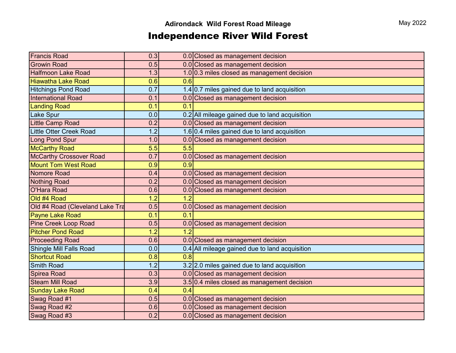## Independence River Wild Forest

| <b>Francis Road</b>             | 0.3 |                  | 0.0 Closed as management decision              |
|---------------------------------|-----|------------------|------------------------------------------------|
| <b>Growin Road</b>              | 0.5 |                  | 0.0 Closed as management decision              |
| <b>Halfmoon Lake Road</b>       | 1.3 |                  | 1.0 0.3 miles closed as management decision    |
| <b>Hiawatha Lake Road</b>       | 0.6 | 0.6              |                                                |
| <b>Hitchings Pond Road</b>      | 0.7 |                  | 1.4 0.7 miles gained due to land acquisition   |
| <b>International Road</b>       | 0.1 |                  | 0.0 Closed as management decision              |
| <b>Landing Road</b>             | 0.1 | 0.1              |                                                |
| <b>Lake Spur</b>                | 0.0 |                  | 0.2 All mileage gained due to land acquisition |
| <b>Little Camp Road</b>         | 0.2 |                  | 0.0 Closed as management decision              |
| Little Otter Creek Road         | 1.2 |                  | 1.6 $0.4$ miles gained due to land acquisition |
| Long Pond Spur                  | 1.0 |                  | 0.0 Closed as management decision              |
| <b>McCarthy Road</b>            | 5.5 | $\overline{5.5}$ |                                                |
| <b>McCarthy Crossover Road</b>  | 0.7 |                  | 0.0 Closed as management decision              |
| <b>Mount Tom West Road</b>      | 0.9 | 0.9              |                                                |
| Nomore Road                     | 0.4 |                  | 0.0 Closed as management decision              |
| <b>Nothing Road</b>             | 0.2 |                  | 0.0 Closed as management decision              |
| <b>O'Hara Road</b>              | 0.6 |                  | 0.0 Closed as management decision              |
| Old #4 Road                     | 1.2 | $\overline{1.2}$ |                                                |
| Old #4 Road (Cleveland Lake Tra | 0.5 |                  | 0.0 Closed as management decision              |
| Payne Lake Road                 | 0.1 | 0.1              |                                                |
| <b>Pine Creek Loop Road</b>     | 0.5 |                  | 0.0 Closed as management decision              |
| <b>Pitcher Pond Road</b>        | 1.2 | 1.2              |                                                |
| <b>Proceeding Road</b>          | 0.6 |                  | 0.0 Closed as management decision              |
| <b>Shingle Mill Falls Road</b>  | 0.0 |                  | 0.4 All mileage gained due to land acquisition |
| <b>Shortcut Road</b>            | 0.8 | 0.8              |                                                |
| <b>Smith Road</b>               | 1.2 |                  | 3.2 2.0 miles gained due to land acquisition   |
| Spirea Road                     | 0.3 |                  | 0.0 Closed as management decision              |
| <b>Steam Mill Road</b>          | 3.9 |                  | 3.5 0.4 miles closed as management decision    |
| <b>Sunday Lake Road</b>         | 0.4 | 0.4              |                                                |
| Swag Road #1                    | 0.5 |                  | 0.0 Closed as management decision              |
| Swag Road #2                    | 0.6 |                  | 0.0 Closed as management decision              |
| Swag Road #3                    | 0.2 |                  | 0.0 Closed as management decision              |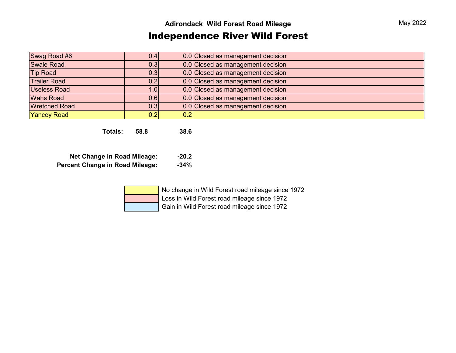## Independence River Wild Forest

| Swag Road #6         | 0.4              |     | 0.0 Closed as management decision |
|----------------------|------------------|-----|-----------------------------------|
| <b>Swale Road</b>    | 0.3              |     | 0.0 Closed as management decision |
| <b>Tip Road</b>      | 0.3              |     | 0.0 Closed as management decision |
| <b>Trailer Road</b>  | 0.2              |     | 0.0 Closed as management decision |
| <b>Useless Road</b>  | 1.0 <sub>l</sub> |     | 0.0 Closed as management decision |
| <b>Wahs Road</b>     | 0.6              |     | 0.0 Closed as management decision |
| <b>Wretched Road</b> | 0.3              |     | 0.0 Closed as management decision |
| <b>Yancey Road</b>   | 0.21             | 0.2 |                                   |

**Totals: 58.8 38.6**

| <b>Net Change in Road Mileage:</b>     | $-20.2$ |
|----------------------------------------|---------|
| <b>Percent Change in Road Mileage:</b> | $-34\%$ |

| No change in Wild Forest road mileage since 1972 |
|--------------------------------------------------|
| Loss in Wild Forest road mileage since 1972      |
| Gain in Wild Forest road mileage since 1972      |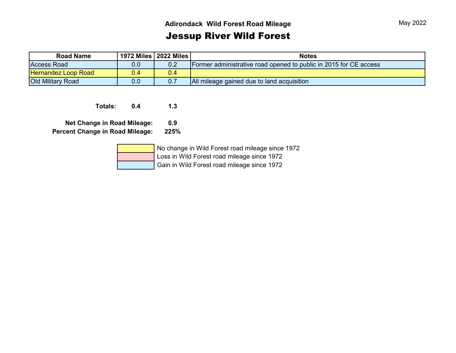## Jessup River Wild Forest

| <b>Road Name</b>           | 1972 Miles   2022 Miles |     | <b>Notes</b>                                                      |
|----------------------------|-------------------------|-----|-------------------------------------------------------------------|
| <b>Access Road</b>         | 0.0                     | 0.2 | Former administrative road opened to public in 2015 for CE access |
| <b>Hernandez Loop Road</b> | 0.4                     | 0.4 |                                                                   |
| <b>Old Military Road</b>   | 0.0                     |     | All mileage gained due to land acquisition                        |

**Totals: 0.4 1.3**

**Net Change in Road Mileage: 0.9 Percent Change in Road Mileage: 225%**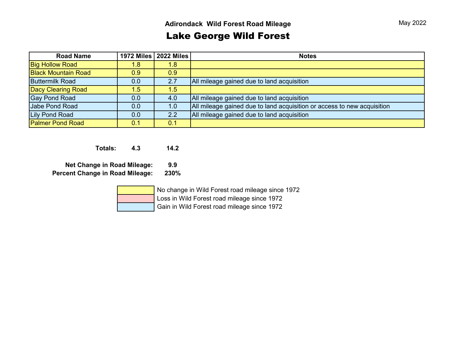## Lake George Wild Forest

| <b>Road Name</b>           |     | 1972 Miles   2022 Miles | <b>Notes</b>                                                            |
|----------------------------|-----|-------------------------|-------------------------------------------------------------------------|
| <b>Big Hollow Road</b>     | 1.8 | $1.8^{\circ}$           |                                                                         |
| <b>Black Mountain Road</b> | 0.9 | 0.9                     |                                                                         |
| <b>Buttermilk Road</b>     | 0.0 | 2.7                     | All mileage gained due to land acquisition                              |
| <b>Dacy Clearing Road</b>  | 1.5 | 1.5                     |                                                                         |
| <b>Gay Pond Road</b>       | 0.0 | 4.0                     | All mileage gained due to land acquisition                              |
| Jabe Pond Road             | 0.0 | 1.0                     | All mileage gained due to land acquisition or access to new acquisition |
| Lily Pond Road             | 0.0 | 2.2                     | All mileage gained due to land acquisition                              |
| <b>Palmer Pond Road</b>    | 0.1 | 0.1                     |                                                                         |

**Totals: 4.3 14.2**

**Net Change in Road Mileage: 9.9 Percent Change in Road Mileage: 230%**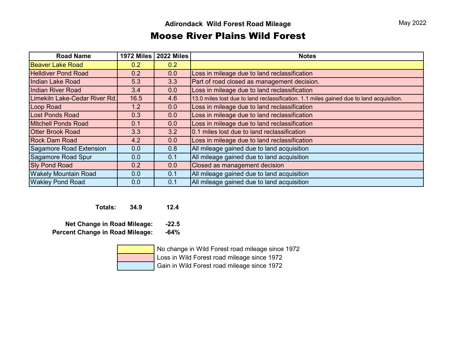#### Moose River Plains Wild Forest

| <b>Road Name</b>              | 1972 Miles | 2022 Miles | <b>Notes</b>                                                                            |
|-------------------------------|------------|------------|-----------------------------------------------------------------------------------------|
| <b>Beaver Lake Road</b>       | 0.2        | 0.2        |                                                                                         |
| <b>Helldiver Pond Road</b>    | 0.2        | 0.0        | Loss in mileage due to land reclassification                                            |
| <b>Indian Lake Road</b>       | 5.3        | 3.3        | Part of road closed as management decision.                                             |
| <b>Indian River Road</b>      | 3.4        | 0.0        | Loss in mileage due to land reclassification                                            |
| Limekiln Lake-Cedar River Rd. | 16.5       | 4.6        | 13.0 miles lost due to land reclassification. 1.1 miles gained due to land acquisition. |
| Loop Road                     | 1.2        | 0.0        | Loss in mileage due to land reclassification                                            |
| <b>Lost Ponds Road</b>        | 0.3        | 0.0        | Loss in mileage due to land reclassification                                            |
| <b>Mitchell Ponds Road</b>    | 0.1        | 0.0        | Loss in mileage due to land reclassification                                            |
| <b>Otter Brook Road</b>       | 3.3        | 3.2        | 0.1 miles lost due to land reclassification                                             |
| <b>Rock Dam Road</b>          | 4.2        | 0.0        | Loss in mileage due to land reclassification                                            |
| Sagamore Road Extension       | 0.0        | 0.8        | All mileage gained due to land acquisition                                              |
| Sagamore Road Spur            | 0.0        | 0.1        | All mileage gained due to land acquisition                                              |
| <b>Sly Pond Road</b>          | 0.2        | 0.0        | Closed as management decision                                                           |
| <b>Wakely Mountain Road</b>   | 0.0        | 0.1        | All mileage gained due to land acquisition                                              |
| <b>Wakley Pond Road</b>       | 0.0        | 0.1        | All mileage gained due to land acquisition                                              |

**Totals: 34.9 12.4**

**Net Change in Road Mileage: -22.5 Percent Change in Road Mileage: -64%**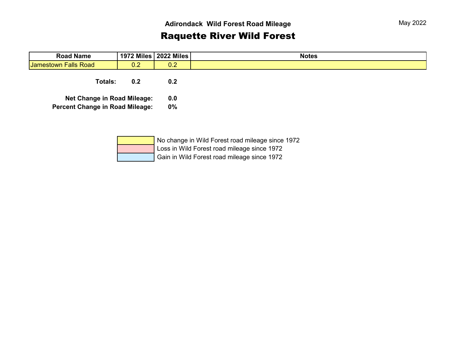## Raquette River Wild Forest

| <b>Road Name</b>                       |     | 1972 Miles   2022 Miles | <b>Notes</b> |
|----------------------------------------|-----|-------------------------|--------------|
| <b>Jamestown Falls Road</b>            | 0.2 | 0.2                     |              |
| <b>Totals:</b>                         | 0.2 | 0.2                     |              |
| <b>Net Change in Road Mileage:</b>     |     | 0.0                     |              |
| <b>Percent Change in Road Mileage:</b> |     | 0%                      |              |
|                                        |     |                         |              |

|  | No change in Wild Forest road mileage since 1972 |
|--|--------------------------------------------------|
|  | Loss in Wild Forest road mileage since 1972      |
|  | Gain in Wild Forest road mileage since 1972      |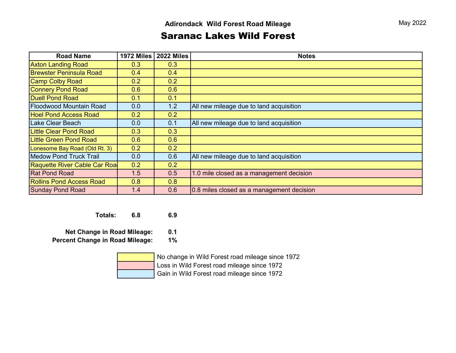#### Saranac Lakes Wild Forest

| <b>Road Name</b>                | <b>1972 Miles</b> | <b>2022 Miles</b> | <b>Notes</b>                              |
|---------------------------------|-------------------|-------------------|-------------------------------------------|
| <b>Axton Landing Road</b>       | 0.3               | 0.3               |                                           |
| <b>Brewster Peninsula Road</b>  | 0.4               | 0.4               |                                           |
| <b>Camp Colby Road</b>          | 0.2               | 0.2               |                                           |
| <b>Connery Pond Road</b>        | 0.6               | 0.6               |                                           |
| <b>Duell Pond Road</b>          | 0.1               | 0.1               |                                           |
| <b>Floodwood Mountain Road</b>  | 0.0               | 1.2               | All new mileage due to land acquisition   |
| <b>Hoel Pond Access Road</b>    | 0.2               | 0.2               |                                           |
| Lake Clear Beach                | 0.0               | 0.1               | All new mileage due to land acquisition   |
| <b>Little Clear Pond Road</b>   | 0.3               | 0.3               |                                           |
| <b>Little Green Pond Road</b>   | 0.6               | 0.6               |                                           |
| Lonesome Bay Road (Old Rt. 3)   | 0.2               | 0.2               |                                           |
| <b>Medow Pond Truck Trail</b>   | 0.0               | 0.6               | All new mileage due to land acquisition   |
| Raquette River Cable Car Roa    | 0.2               | 0.2               |                                           |
| <b>Rat Pond Road</b>            | 1.5               | 0.5               | 1.0 mile closed as a management decision  |
| <b>Rollins Pond Access Road</b> | 0.8               | 0.8               |                                           |
| <b>Sunday Pond Road</b>         | 1.4               | 0.6               | 0.8 miles closed as a management decision |

**Totals: 6.8 6.9**

**Net Change in Road Mileage: 0.1**

**Percent Change in Road Mileage: 1%**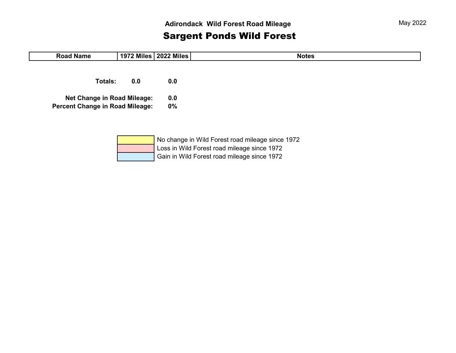## Sargent Ponds Wild Forest

| <b>Road Name</b>                       |     | 1972 Miles   2022 Miles | <b>Notes</b>                                                                                                                                                                                                                                                                                                    |
|----------------------------------------|-----|-------------------------|-----------------------------------------------------------------------------------------------------------------------------------------------------------------------------------------------------------------------------------------------------------------------------------------------------------------|
|                                        |     |                         |                                                                                                                                                                                                                                                                                                                 |
| <b>Totals:</b>                         | 0.0 | 0.0                     |                                                                                                                                                                                                                                                                                                                 |
| <b>Net Change in Road Mileage:</b>     |     | 0.0                     |                                                                                                                                                                                                                                                                                                                 |
| <b>Percent Change in Road Mileage:</b> |     | $0\%$                   |                                                                                                                                                                                                                                                                                                                 |
|                                        |     |                         |                                                                                                                                                                                                                                                                                                                 |
|                                        |     |                         |                                                                                                                                                                                                                                                                                                                 |
|                                        |     | $\mathbf{r}$            | $\mathbf{r}$ , and $\mathbf{r}$ and $\mathbf{r}$ and $\mathbf{r}$ and $\mathbf{r}$ and $\mathbf{r}$ and $\mathbf{r}$ and $\mathbf{r}$ and $\mathbf{r}$ and $\mathbf{r}$ and $\mathbf{r}$ and $\mathbf{r}$ and $\mathbf{r}$ and $\mathbf{r}$ and $\mathbf{r}$ and $\mathbf{r}$ and $\mathbf{r}$ an<br>$\sqrt{2}$ |

| No change in Wild Forest road mileage since 1972 |
|--------------------------------------------------|
| Loss in Wild Forest road mileage since 1972      |
| Gain in Wild Forest road mileage since 1972      |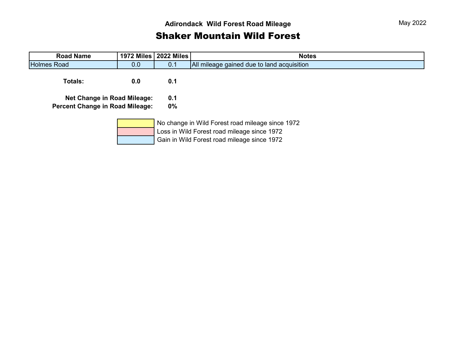## Shaker Mountain Wild Forest

| <b>Road Name</b>                       |                  | 1972 Miles   2022 Miles | <b>Notes</b>                                                                                                                                   |
|----------------------------------------|------------------|-------------------------|------------------------------------------------------------------------------------------------------------------------------------------------|
| <b>Holmes Road</b>                     | 0.0 <sub>1</sub> | 0.1                     | All mileage gained due to land acquisition                                                                                                     |
| <b>Totals:</b>                         | 0.0              | 0.1                     |                                                                                                                                                |
| <b>Net Change in Road Mileage:</b>     |                  | 0.1                     |                                                                                                                                                |
| <b>Percent Change in Road Mileage:</b> |                  | $0\%$                   |                                                                                                                                                |
|                                        |                  |                         | No change in Wild Forest road mileage since 1972<br>Loss in Wild Forest road mileage since 1972<br>Gain in Wild Forest road mileage since 1972 |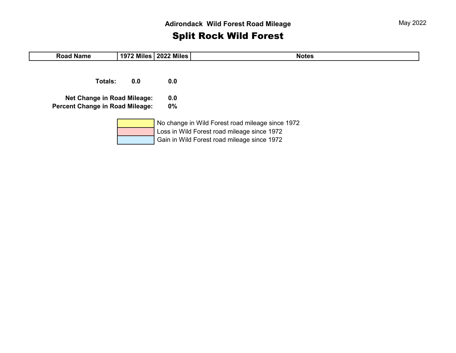## Split Rock Wild Forest

| <b>Road Name</b>                                                             |     | 1972 Miles   2022 Miles | <b>Notes</b>                                                                                                                                   |
|------------------------------------------------------------------------------|-----|-------------------------|------------------------------------------------------------------------------------------------------------------------------------------------|
| Totals:                                                                      | 0.0 | 0.0                     |                                                                                                                                                |
| <b>Net Change in Road Mileage:</b><br><b>Percent Change in Road Mileage:</b> |     | 0.0<br>$0\%$            |                                                                                                                                                |
|                                                                              |     |                         | No change in Wild Forest road mileage since 1972<br>Loss in Wild Forest road mileage since 1972<br>Gain in Wild Forest road mileage since 1972 |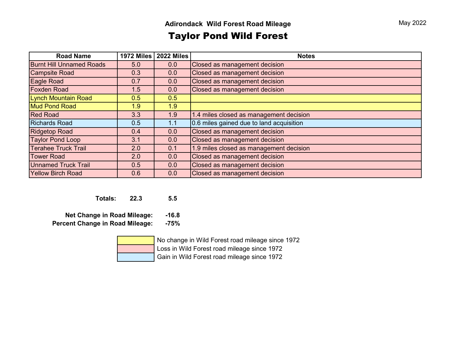## Taylor Pond Wild Forest

| <b>Road Name</b>                | <b>1972 Miles</b> | <b>2022 Miles</b> | <b>Notes</b>                             |
|---------------------------------|-------------------|-------------------|------------------------------------------|
| <b>Burnt Hill Unnamed Roads</b> | 5.0               | 0.0               | Closed as management decision            |
| <b>Campsite Road</b>            | 0.3               | 0.0               | Closed as management decision            |
| Eagle Road                      | 0.7               | 0.0               | Closed as management decision            |
| <b>Foxden Road</b>              | 1.5               | 0.0               | Closed as management decision            |
| <b>Lynch Mountain Road</b>      | 0.5               | 0.5               |                                          |
| <b>Mud Pond Road</b>            | 1.9               | 1.9               |                                          |
| <b>Red Road</b>                 | 3.3               | 1.9               | 1.4 miles closed as management decision  |
| <b>Richards Road</b>            | 0.5               | 1.1               | 0.6 miles gained due to land acquisition |
| <b>Ridgetop Road</b>            | 0.4               | 0.0               | Closed as management decision            |
| <b>Taylor Pond Loop</b>         | 3.1               | 0.0               | Closed as management decision            |
| <b>Terahee Truck Trail</b>      | 2.0               | 0.1               | 1.9 miles closed as management decision  |
| <b>Tower Road</b>               | 2.0               | 0.0               | Closed as management decision            |
| <b>Unnamed Truck Trail</b>      | 0.5               | 0.0               | Closed as management decision            |
| <b>Yellow Birch Road</b>        | 0.6               | 0.0               | Closed as management decision            |

**Totals: 22.3 5.5**

**Net Change in Road Mileage: -16.8 Percent Change in Road Mileage: -75%**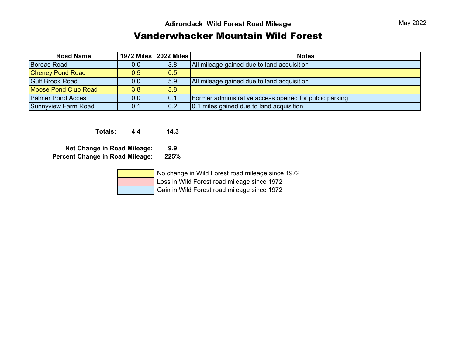### Vanderwhacker Mountain Wild Forest

| <b>Road Name</b>            |     | 1972 Miles   2022 Miles | <b>Notes</b>                                           |
|-----------------------------|-----|-------------------------|--------------------------------------------------------|
| <b>Boreas Road</b>          | 0.0 | 3.8                     | All mileage gained due to land acquisition             |
| <b>Cheney Pond Road</b>     | 0.5 | $0.5^{\circ}$           |                                                        |
| <b>Gulf Brook Road</b>      | 0.0 | 5.9                     | All mileage gained due to land acquisition             |
| <b>Moose Pond Club Road</b> | 3.8 | 3.8                     |                                                        |
| <b>Palmer Pond Acces</b>    | 0.0 | 0.1                     | Former administrative access opened for public parking |
| Sunnyview Farm Road         | 0.1 | 0.2                     | 0.1 miles gained due to land acquisition               |

**Totals: 4.4 14.3**

**Net Change in Road Mileage: 9.9 Percent Change in Road Mileage: 225%**

|  | No change in Wild Forest road mileage since 1972 |
|--|--------------------------------------------------|
|  | Loss in Wild Forest road mileage since 1972      |
|  | Gain in Wild Forest road mileage since 1972      |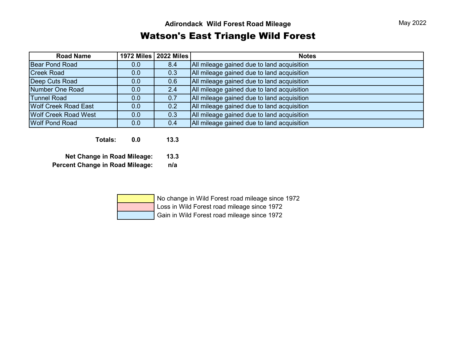### Watson's East Triangle Wild Forest

| <b>Road Name</b>            |     | 1972 Miles   2022 Miles | <b>Notes</b>                               |
|-----------------------------|-----|-------------------------|--------------------------------------------|
| Bear Pond Road              | 0.0 | 8.4                     | All mileage gained due to land acquisition |
| <b>Creek Road</b>           | 0.0 | 0.3                     | All mileage gained due to land acquisition |
| Deep Cuts Road              | 0.0 | 0.6                     | All mileage gained due to land acquisition |
| Number One Road             | 0.0 | 2.4                     | All mileage gained due to land acquisition |
| <b>Tunnel Road</b>          | 0.0 | 0.7                     | All mileage gained due to land acquisition |
| <b>Wolf Creek Road East</b> | 0.0 | 0.2                     | All mileage gained due to land acquisition |
| <b>Wolf Creek Road West</b> | 0.0 | 0.3                     | All mileage gained due to land acquisition |
| <b>Wolf Pond Road</b>       | 0.0 | 0.4                     | All mileage gained due to land acquisition |

**Totals: 0.0 13.3**

**Net Change in Road Mileage: 13.3**

**Percent Change in Road Mileage: n/a**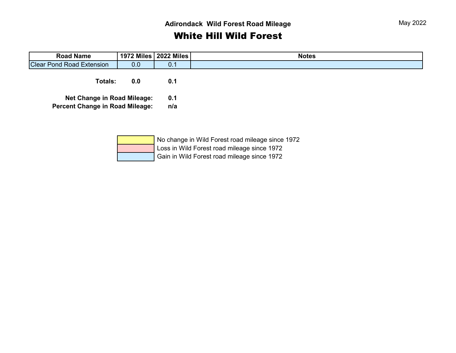#### **Adirondack Wild Forest Road Mileage**

## White Hill Wild Forest

| <b>Road Name</b>                       |     | 1972 Miles   2022 Miles | <b>Notes</b> |
|----------------------------------------|-----|-------------------------|--------------|
| <b>Clear Pond Road Extension</b>       | 0.0 | 0.1                     |              |
| <b>Totals:</b>                         | 0.0 | 0.1                     |              |
| <b>Net Change in Road Mileage:</b>     |     | 0.1                     |              |
| <b>Percent Change in Road Mileage:</b> |     | n/a                     |              |
|                                        |     |                         |              |
|                                        |     |                         |              |

| No change in Wild Forest road mileage since 1972 |
|--------------------------------------------------|
| Loss in Wild Forest road mileage since 1972      |
| Gain in Wild Forest road mileage since 1972      |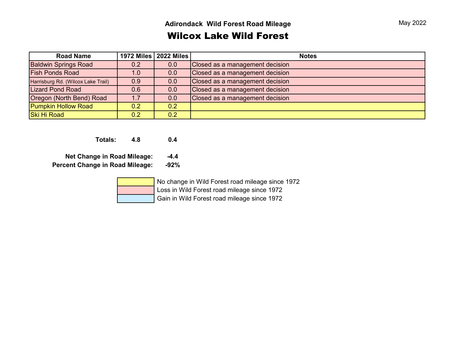#### Wilcox Lake Wild Forest

| <b>Road Name</b>                   |     | 1972 Miles   2022 Miles | <b>Notes</b>                    |
|------------------------------------|-----|-------------------------|---------------------------------|
| <b>Baldwin Springs Road</b>        | 0.2 | 0.0                     | Closed as a management decision |
| <b>Fish Ponds Road</b>             | 1.0 | 0.0                     | Closed as a management decision |
| Harrisburg Rd. (Wilcox Lake Trail) | 0.9 | 0.0                     | Closed as a management decision |
| <b>Lizard Pond Road</b>            | 0.6 | 0.0                     | Closed as a management decision |
| Oregon (North Bend) Road           | 1.7 | 0.0                     | Closed as a management decision |
| <b>Pumpkin Hollow Road</b>         | 0.2 | 0.2                     |                                 |
| Ski Hi Road                        | 0.2 | 0.2                     |                                 |

**Totals: 4.8 0.4**

**Net Change in Road Mileage: -4.4**

**Percent Change in Road Mileage: -92%**

 No change in Wild Forest road mileage since 1972 Loss in Wild Forest road mileage since 1972

Gain in Wild Forest road mileage since 1972